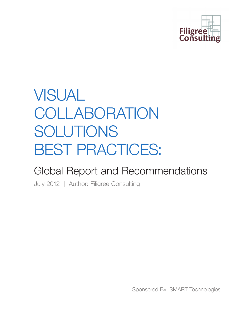

## VISUAL COLLABORATION SOLUTIONS BEST PRACTICES:

## Global Report and Recommendations

July 2012 | Author: Filigree Consulting

Sponsored By: SMART Technologies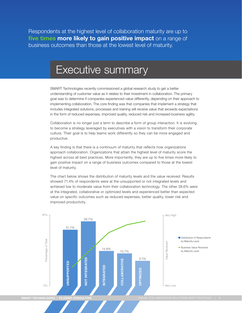Respondents at the highest level of collaboration maturity are up to **five times more likely to gain positive impact** on a range of business outcomes than those at the lowest level of maturity.

## Executive summary

SMART Technologies recently commissioned a global research study to get a better understanding of customer value as it relates to their investment in collaboration. The primary goal was to determine if companies experienced value differently, depending on their approach to implementing collaboration. The core finding was that companies that implement a strategy that includes integrated solutions, processes and training will receive value that exceeds expectations in the form of reduced expenses, improved quality, reduced risk and increased business agility.

Collaboration is no longer just a term to describe a form of group interaction. It is evolving to become a strategy leveraged by executives with a vision to transform their corporate culture. Their goal is to help teams work differently so they can be more engaged and productive.

A key finding is that there is a continuum of maturity that reflects how organizations approach collaboration. Organizations that attain the highest level of maturity score the highest across all best practices. More importantly, they are up to five times more likely to gain positive impact on a range of business outcomes compared to those at the lowest level of maturity.

The chart below shows the distribution of maturity levels and the value received. Results showed 71.4% of respondents were at the unsupported or not integrated levels and achieved low to moderate value from their collaboration technology. The other 28.6% were at the integrated, collaborative or optimized levels and experienced better than expected value on specific outcomes such as reduced expenses, better quality, lower risk and improved productivity.

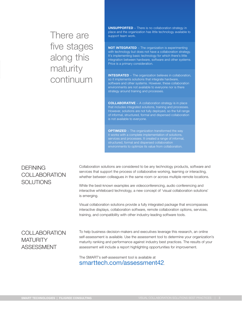## There are five stages along this maturity continuum

**UNSUPPORTED** – There is no collaboration strategy in place and the organization has little technology available to support team work.

**NOT INTEGRATED** – The organization is experimenting with technology but does not have a collaboration strategy. It's implementing basic technology for which there's little integration between hardware, software and other systems. Price is a primary consideration.

**INTEGRATED** – The organization believes in collaboration, so it implements solutions that integrate hardware, software and other systems. However, these collaboration environments are not available to everyone nor is there strategy around training and processes.

**COLLABORATIVE** − A collaboration strategy is in place that includes integrated solutions, training and processes. However, solutions are not fully deployed, so the full range is not available to everyone.

**OPTIMIZED** – The organization transformed the way it works with a complete implementation of solutions, services and processes. It created a range of informal, structured, formal and dispersed collaboration

#### **DEFINING** COLLABORATION **SOLUTIONS**

Collaboration solutions are considered to be any technology products, software and services that support the process of collaborative working, learning or interacting, whether between colleagues in the same room or across multiple remote locations.

While the best-known examples are videoconferencing, audio conferencing and interactive whiteboard technology, a new concept of 'visual collaboration solutions' is emerging.

Visual collaboration solutions provide a fully integrated package that encompasses interactive displays, collaboration software, remote collaboration options, services, training, and compatibility with other industry-leading software tools.

#### **COLLABORATION MATURITY** ASSESSMENT

To help business decision-makers and executives leverage this research, an online self-assessment is available. Use the assessment tool to determine your organization's maturity ranking and performance against industry best practices. The results of your assessment will include a report highlighting opportunities for improvement.

The SMART's self-assessment tool is available at smarttech.com/assessment42.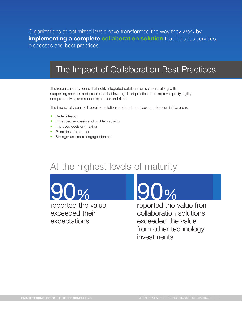Organizations at optimized levels have transformed the way they work by **implementing a complete collaboration solution** that includes services, processes and best practices.

### The Impact of Collaboration Best Practices

The research study found that richly integrated collaboration solutions along with supporting services and processes that leverage best practices can improve quality, agility and productivity, and reduce expenses and risks.

The impact of visual collaboration solutions and best practices can be seen in five areas:

- Better ideation
- Enhanced synthesis and problem solving
- Improved decision-making
- Promotes more action
- Stronger and more engaged teams

## At the highest levels of maturity

 $\int$  0/0

reported the value exceeded their expectations

## 90%

reported the value from collaboration solutions exceeded the value from other technology investments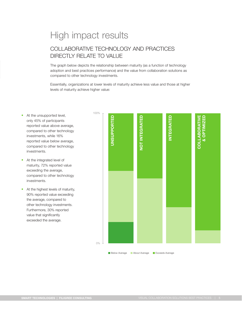## High impact results

#### COLLABORATIVE TECHNOLOGY AND PRACTICES DIRECTLY RELATE TO VALUE

The graph below depicts the relationship between maturity (as a function of technology adoption and best practices performance) and the value from collaboration solutions as compared to other technology investments.

Essentially, organizations at lower levels of maturity achieve less value and those at higher levels of maturity achieve higher value:

- At the unsupported level, only 45% of participants reported value above average, compared to other technology investments, while 16% reported value below average, compared to other technology investments.
- At the integrated level of maturity, 72% reported value exceeding the average, compared to other technology investments.
- At the highest levels of maturity, 90% reported value exceeding the average, compared to other technology investments. Furthermore, 30% reported value that significantly exceeded the average.



**Below Average About Average Exceeds Average**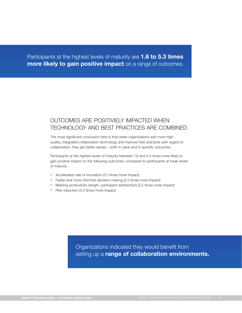Participants at the highest levels of maturity are **1.6 to 5.3 times more likely to gain positive impact** on a range of outcomes.

#### OUTCOMES ARE POSITIVIELY IMPACTED WHEN TECHNOLOGY AND BEST PRACTICES ARE COMBINED

The most significant conclusion here is that when organizations add more highquality, integrated collaboration technology and improve their practices with regard to collaboration, they get better results – both in value and in specific outcomes.

Participants at the highest levels of maturity between 1.6 and 5.3 times more likely to gain positive impact on the following outcomes, compared to participants at lower levels of maturity:

- Accelerated rate of innovation (3.1 times more impact)
- Faster and more informed decision-making (2.3 times more impact)
- Meeting productivity (length, participant satisfaction) (2.2 times more impact)
- Risk reduction (5.3 times more impact)

Organizations indicated they would benefit from setting up a **range of collaboration environments.**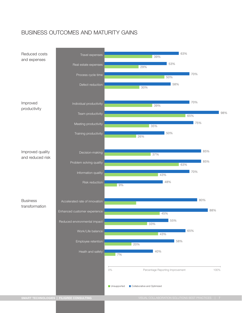#### BUSINESS OUTCOMES AND MATURITY GAINS

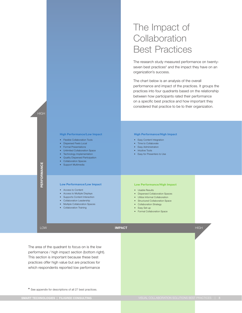## The Impact of **Collaboration** Best Practices

The research study measured performance on twentyseven best practices<sup>\*</sup> and the impact they have on an organization's success.

The chart below is an analysis of the overall performance and impact of the practices. It groups the practices into four quadrants based on the relationship between how participants rated their performance on a specific best practice and how important they considered that practice to be to their organization.



The area of the quadrant to focus on is the low performance / high impact section (bottom right). This section is important because these best practices offer high value but are practices for which respondents reported low performance

**\*** See appendix for descriptions of all 27 best practices.

**HIGH**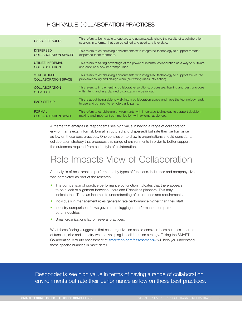#### HIGH-VALUE COLLABORATION PRACTICES

| <b>USABLE RESULTS</b>                           | This refers to being able to capture and automatically share the results of a collaboration<br>session, in a format that can be edited and used at a later date. |
|-------------------------------------------------|------------------------------------------------------------------------------------------------------------------------------------------------------------------|
| <b>DISPERSED</b><br><b>COLLABORATION SPACES</b> | This refers to establishing environments with integrated technology to support remote/<br>dispersed team members.                                                |
| <b>UTILIZE INFORMAL</b><br><b>COLLABORATION</b> | This refers to taking advantage of the power of informal collaboration as a way to cultivate<br>and capture a new impromptu idea.                                |
| <b>STRUCTURED</b><br><b>COLLABORATION SPACE</b> | This refers to establishing environments with integrated technology to support structured<br>problem-solving and design work (cultivating ideas into action).    |
| <b>COLLABORATION</b><br><b>STRATEGY</b>         | This refers to implementing collaborative solutions, processes, training and best practices<br>with intent, and in a planned organization wide rollout.          |
| <b>EASY SET-UP</b>                              | This is about being able to walk into a collaboration space and have the technology ready<br>to use and connect to remote participants.                          |
| <b>FORMAL</b><br><b>COLLABORATION SPACE</b>     | This refers to establishing environments with integrated technology to support decision-<br>making and important communication with external audiences.          |

A theme that emerges is respondents see high value in having a range of collaboration environments (e.g., informal, formal, structured and dispersed) but rate their performance as low on these best practices. One conclusion to draw is organizations should consider a collaboration strategy that produces this range of environments in order to better support the outcomes required from each style of collaboration.

## Role Impacts View of Collaboration

An analysis of best practice performance by types of functions, industries and company size was completed as part of the research.

- The comparison of practice performance by function indicates that there appears to be a lack of alignment between users and IT/facilities planners. This may indicate that IT has an incomplete understanding of user needs and requirements.
- Individuals in management roles generally rate performance higher than their staff.
- Industry comparison shows government lagging in performance compared to other industries.
- Small organizations lag on several practices.

What these findings suggest is that each organization should consider these nuances in terms of function, size and industry when developing its collaboration strategy. Taking the SMART Collaboration Maturity Assessment at smarttech.com/assessment42 will help you understand these specific nuances in more detail.

Respondents see high value in terms of having a range of collaboration environments but rate their performance as low on these best practices.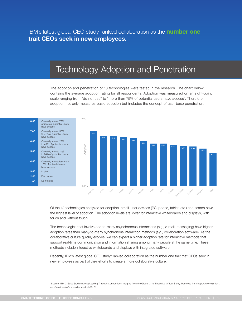IBM's latest global CEO study ranked collaboration as the **number one trait CEOs seek in new employees.**

### Technology Adoption and Penetration

The adoption and penetration of 13 technologies were tested in the research. The chart below contains the average adoption rating for all respondents. Adoption was measured on an eight-point scale ranging from "do not use" to "more than 75% of potential users have access". Therefore, adoption not only measures basic adoption but includes the concept of user base penetration.



Of the 13 technologies analyzed for adoption, email, user devices (PC, phone, tablet, etc.) and search have the highest level of adoption. The adoption levels are lower for interactive whiteboards and displays, with touch and without touch.

The technologies that involve one-to-many asynchronous interactions (e.g., e-mail, messaging) have higher adoption rates than many-to-many synchronous interaction methods (e.g., collaboration software). As the collaborative culture quickly evolves, we can expect a higher adoption rate for interactive methods that support real-time communication and information sharing among many people at the same time. These methods include interactive whiteboards and displays with integrated software.

Recently, IBM's latest global CEO study\* ranked collaboration as the number one trait that CEOs seek in new employees as part of their efforts to create a more collaborative culture.

\*Source: IBM C-Suite Studies (2012) Leading Through Connections; Insights from the Global Chief Executive Officer Study. Retrieved from http://www-935.ibm. com/services/us/en/c-suite/ceostudy2012/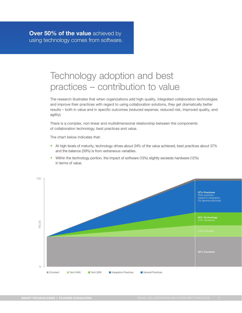## Technology adoption and best practices – contribution to value

The research illustrates that when organizations add high-quality, integrated collaboration technologies and improve their practices with regard to using collaboration solutions, they get dramatically better results – both in value and in specific outcomes (reduced expense, reduced risk, improved quality, and agility).

There is a complex, non-linear and multidimensional relationship between the components of collaboration technology, best practices and value.

The chart below indicates that:

- At high levels of maturity, technology drives about 24% of the value achieved, best practices about 37% and the balance (39%) is from extraneous variables.
- Within the technology portion, the impact of software (13%) slightly exceeds hardware (12%) in terms of value.

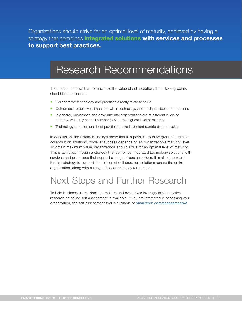Organizations should strive for an optimal level of maturity, achieved by having a strategy that combines **integrated solutions with services and processes to support best practices.**

## Research Recommendations

The research shows that to maximize the value of collaboration, the following points should be considered:

- Collaborative technology and practices directly relate to value
- Outcomes are positively impacted when technology and best practices are combined
- In general, businesses and governmental organizations are at different levels of maturity, with only a small number (3%) at the highest level of maturity
- Technology adoption and best practices make important contributions to value

In conclusion, the research findings show that it is possible to drive great results from collaboration solutions, however success depends on an organization's maturity level. To obtain maximum value, organizations should strive for an optimal level of maturity. This is achieved through a strategy that combines integrated technology solutions with services and processes that support a range of best practices. It is also important for that strategy to support the roll-out of collaboration solutions across the entire organization, along with a range of collaboration environments.

## Next Steps and Further Research

To help business users, decision-makers and executives leverage this innovative research an online self-assessment is available. If you are interested in assessing your organization, the self-assessment tool is available at smarttech.com/assessment42.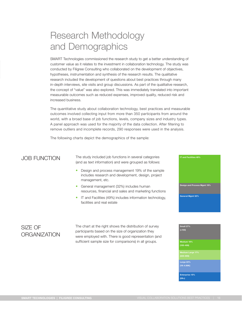## Research Methodology and Demographics

SMART Technologies commissioned the research study to get a better understanding of customer value as it relates to the investment in collaboration technology. The study was conducted by Filigree Consulting who collaborated on the development of objectives, hypotheses, instrumentation and synthesis of the research results. The qualitative research included the development of questions about best practices through many in-depth interviews, site visits and group discussions. As part of the qualitative research, the concept of "value" was also explored. This was immediately translated into important measurable outcomes such as reduced expenses, improved quality, reduced risk and increased business.

The quantitative study about collaboration technology, best practices and measurable outcomes involved collecting input from more than 350 participants from around the world, with a broad base of job functions, levels, company sizes and industry types. A panel approach was used for the majority of the data collection. After filtering to remove outliers and incomplete records, 290 responses were used in the analysis.

The following charts depict the demographics of the sample:

JOB FUNCTION The study included job functions in several categories (and as text information) and were grouped as follows:

- Design and process management 19% of the sample includes research and development, design, project management, etc.
- General management (32%) includes human resources, financial and sales and marketing functions
- • IT and Facilities (49%) includes information technology, facilities and real estate

# **General Mgmt 32% Design and Process Mgmt 19%**

**IT and Facilities 49%**

#### SIZE OF **ORGANIZATION**

The chart at the right shows the distribution of survey participants based on the size of organization they were employed with. There is good representation (and sufficient sample size for comparisons) in all groups.